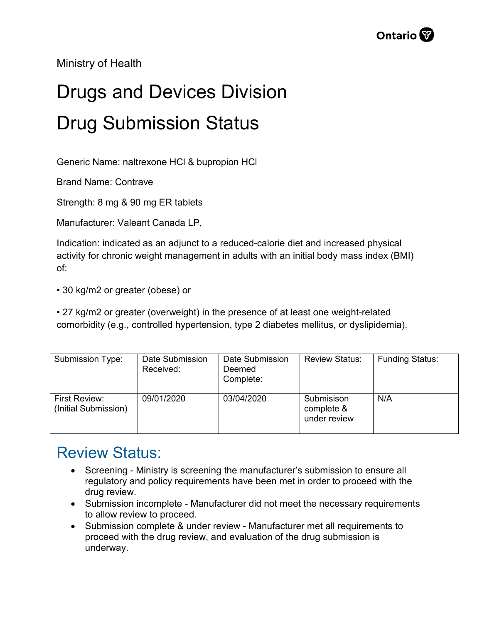Ministry of Health

## Drugs and Devices Division Drug Submission Status

Generic Name: naltrexone HCl & bupropion HCl

Brand Name: Contrave

Strength: 8 mg & 90 mg ER tablets

Manufacturer: Valeant Canada LP,

Indication: indicated as an adjunct to a reduced-calorie diet and increased physical activity for chronic weight management in adults with an initial body mass index (BMI) of:

• 30 kg/m2 or greater (obese) or

• 27 kg/m2 or greater (overweight) in the presence of at least one weight-related comorbidity (e.g., controlled hypertension, type 2 diabetes mellitus, or dyslipidemia).

| Submission Type:                      | Date Submission<br>Received: | Date Submission<br>Deemed<br>Complete: | <b>Review Status:</b>                    | <b>Funding Status:</b> |
|---------------------------------------|------------------------------|----------------------------------------|------------------------------------------|------------------------|
| First Review:<br>(Initial Submission) | 09/01/2020                   | 03/04/2020                             | Submisison<br>complete &<br>under review | N/A                    |

## Review Status:

- Screening Ministry is screening the manufacturer's submission to ensure all regulatory and policy requirements have been met in order to proceed with the drug review.
- Submission incomplete Manufacturer did not meet the necessary requirements to allow review to proceed.
- Submission complete & under review Manufacturer met all requirements to proceed with the drug review, and evaluation of the drug submission is underway.